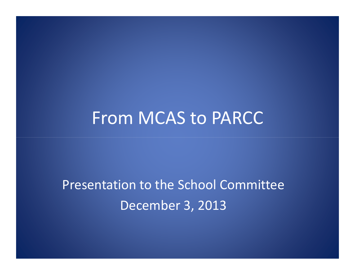## From MCAS to PARCC

Presentation to the School CommitteeDecember 3, 2013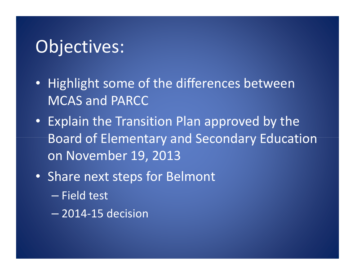## Objectives:

- Highlight some of the differences between MCAS and PARCC
- Explain the Transition Plan approved by the Board of Elementary and Secondary Education on November 19, 2013
- Share next steps for Belmont
	- $\mathcal{L}_{\mathcal{A}}$  , where  $\mathcal{L}_{\mathcal{A}}$  is the set of the set of the set of the set of the set of the set of the set of the set of the set of the set of the set of the set of the set of the set of the set of the set of the — Field test
	- –2014-15 decision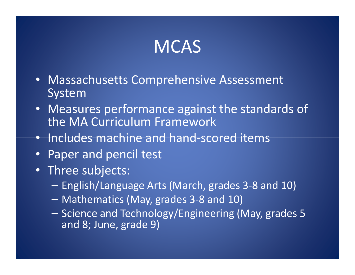## **MCAS**

- Massachusetts Comprehensive Assessment System
- Measures performance against the standards of the MA Curriculum Framework
- Includes machine and hand-scored items
- •Paper and pencil test
- Three subjects:
	- English/Language Arts (March, grades 3-8 and 10)
	- Mathematics (May, grades 3-8 and 10)
	- Science and Technology/Engineering (May, grades 5 and 8; June, grade 9)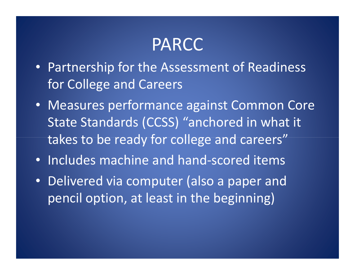## PARCC

- Partnership for the Assessment of Readiness for College and Careers
- Measures performance against Common Core State Standards (CCSS) "anchored in what it takes to be ready for college and careers"
- Includes machine and hand-scored items
- Delivered via computer (also a paper and pencil option, at least in the beginning)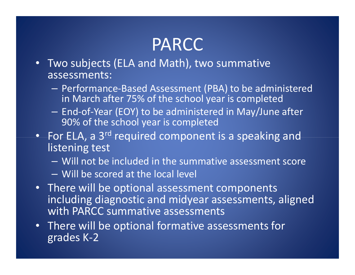## PARCC

- Two subjects (ELA and Math), two summative assessments:
	- $\sim$ - Performance-Based Assessment (PBA) to be administered in March after 75% of the school year is completed
	- $\mathcal{L}_{\mathcal{A}}$ - End-of-Year (EOY) to be administered in May/June after 90% of the school year is completed
- For ELA, a 3<sup>rd</sup> required component is a speaking and listening test
	- $\sim$ Will not be included in the summative assessment score
	- $\sim$  $-$  Will be scored at the local level
- There will be optional assessment components including diagnostic and midyear assessments, aligned with PARCC summative assessments
- There will be optional formative assessments for grades K-2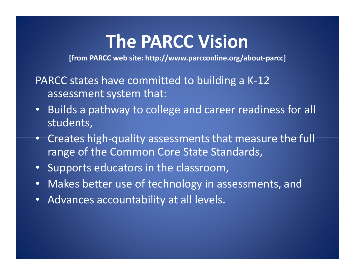## The PARCC Vision

[from PARCC web site: http://www.parcconline.org/about-parcc]

#### PARCC states have committed to building a K-12 assessment system that:

- • Builds a pathway to college and career readiness for all students,
- Creates high-quality assessments that measure the full range of the Common Core State Standards,
- Supports educators in the classroom,
- •Makes better use of technology in assessments, and
- Advances accountability at all levels.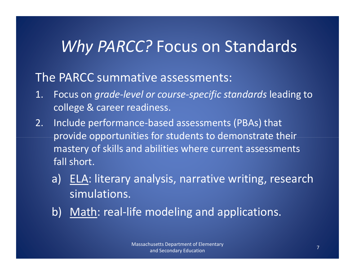## Why PARCC? Focus on Standards

### The PARCC summative assessments:

- 1. Focus on grade-level or course-specific standards leading to college & career readiness.
- 2. Include performance-based assessments (PBAs) that provide opportunities for students to demonstrate their mastery of skills and abilities where current assessments fall short.
	- a) ELA: literary analysis, narrative writing, research simulations.
	- b) Math: real-life modeling and applications.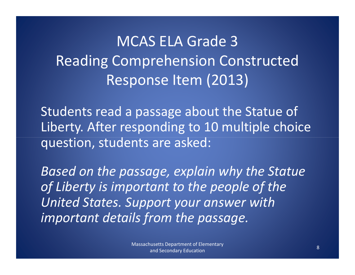## MCAS ELA Grade 3 Reading Comprehension Constructed Response Item (2013)

Students read a passage about the Statue of Liberty. After responding to 10 multiple choice question, students are asked:

Based on the passage, explain why the Statue of Liberty is important to the people of the United States. Support your answer with important details from the passage.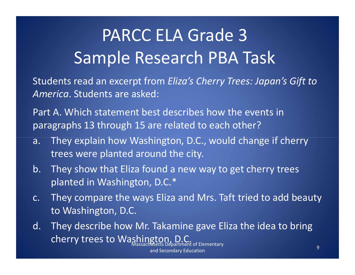## PARCC ELA Grade 3Sample Research PBA Task

Students read an excerpt from Eliza's Cherry Trees: Japan's Gift to America. Students are asked:

Part A. Which statement best describes how the events in paragraphs 13 through 15 are related to each other?

- a. They explain how Washington, D.C., would change if cherry trees were planted around the city.
- b. They show that Eliza found a new way to get cherry trees planted in Washington, D.C.\*
- c. They compare the ways Eliza and Mrs. Taft tried to add beauty to Washington, D.C.
- d. They describe how Mr. Takamine gave Eliza the idea to bring cherry trees to Washington, partment of Elementary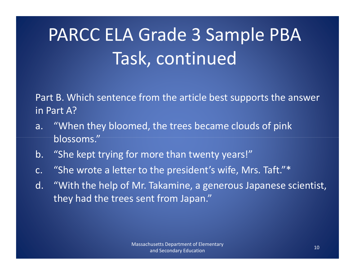# PARCC ELA Grade 3 Sample PBA Task, continued

Part B. Which sentence from the article best supports the answer in Part A?

- a. "When they bloomed, the trees became clouds of pink blossoms."
- b. "She kept trying for more than twenty years!"
- c. "She wrote a letter to the president's wife, Mrs. Taft."\*
- d. "With the help of Mr. Takamine, a generous Japanese scientist, they had the trees sent from Japan."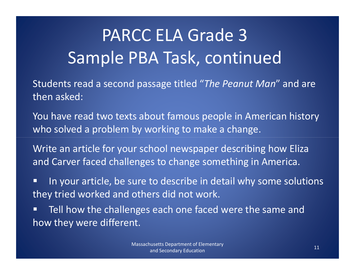## PARCC ELA Grade 3 Sample PBA Task, continued

Students read a second passage titled "The Peanut Man" and are then asked:

You have read two texts about famous people in American history who solved a problem by working to make a change.

Write an article for your school newspaper describing how Eliza and Carver faced challenges to change something in America.

 In your article, be sure to describe in detail why some solutions they tried worked and others did not work.

 Tell how the challenges each one faced were the same and how they were different.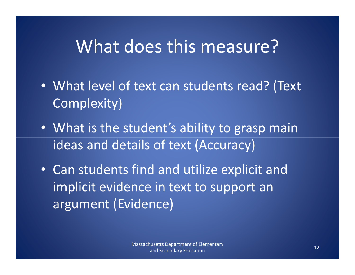## What does this measure?

- What level of text can students read? (Text Complexity)
- What is the student's ability to grasp main ideas and details of text (Accuracy)
- Can students find and utilize explicit and implicit evidence in text to support an argument (Evidence)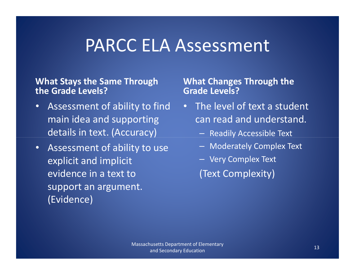## PARCC ELA Assessment

#### What Stays the Same Through the Grade Levels?

- • Assessment of ability to find main idea and supporting details in text. (Accuracy)
- Assessment of ability to use explicit and implicit evidence in a text to support an argument. (Evidence)

#### What Changes Through the Grade Levels?

- The level of text a student can read and understand.
	- Readily Accessible Text
	- Moderately Complex Text
	- Very Complex Text

(Text Complexity)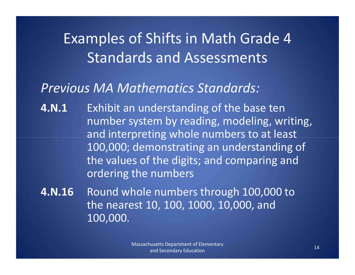## Examples of Shifts in Math Grade 4 Standards and Assessments

### Previous MA Mathematics Standards:

- **4.N.1** Exhibit an understanding of the base ten number system by reading, modeling, writing, and interpreting whole numbers to at least 100,000; demonstrating an understanding of the values of the digits; and comparing and ordering the numbers
- 4.N.16 Round whole numbers through 100,000 to the nearest 10, 100, 1000, 10,000, and 100,000.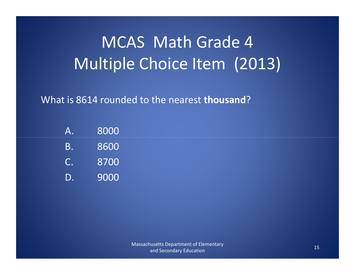## MCAS Math Grade 4 Multiple Choice Item (2013)

What is 8614 rounded to the nearest **thousand**?

| Α. | 8000 |
|----|------|
| В. | 8600 |
| C. | 8700 |
| D. | 9000 |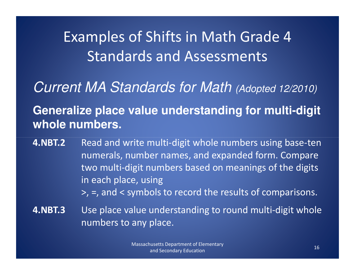## Examples of Shifts in Math Grade 4 Standards and Assessments

Current MA Standards for Math (Adopted 12/2010)

**Generalize place value understanding for multi-digit whole numbers.**

- 4.NBT.22 Read and write multi-digit whole numbers using base-ten numerals, number names, and expanded form. Compare two multi-digit numbers based on meanings of the digits in each place, using >, =, and < symbols to record the results of comparisons.
	-
- 4.NBT.3 Use place value understanding to round multi-digit whole numbers to any place.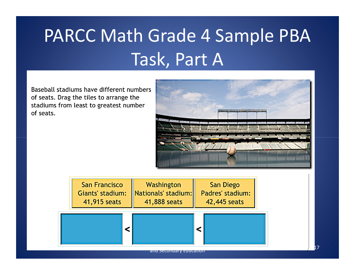# PARCC Math Grade 4 Sample PBA Task, Part A

Baseball stadiums have different numbers of seats. Drag the tiles to arrange the stadiums from least to greatest number of seats.



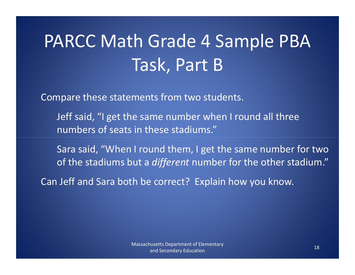# PARCC Math Grade 4 Sample PBA Task, Part B

Compare these statements from two students.

- Jeff said, "I get the same number when I round all three numbers of seats in these stadiums."
- Sara said, "When I round them, I get the same number for two of the stadiums but a *different* number for the other stadium."

Can Jeff and Sara both be correct? Explain how you know.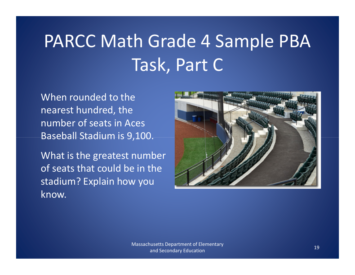# PARCC Math Grade 4 Sample PBA Task, Part C

When rounded to the nearest hundred, the number of seats in Aces Baseball Stadium is 9,100.

What is the greatest number of seats that could be in the stadium? Explain how you know.

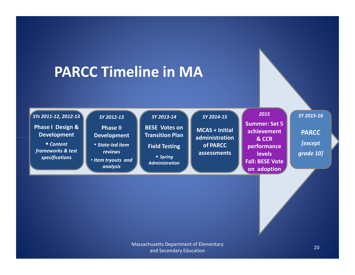### PARCC Timeline in MA

#### SYs 2011-12, 2012-13

Phase I Design & Development

• Content frameworks & test specifications

#### SY 2012-13

Phase II Development

#### • State-led item reviews

• Item tryouts and analysis

#### SY 2013-14

BESE Votes on Transition Plan

#### Field Testing

• Spring Administration

#### SY 2014-15

MCAS + Initial administration of PARCC assessments

#### Summer: Set 5 achievement & CCR performance **levels** Fall: BESE Vote

on adoption

2015

SY 2015-16

**PARCC [except** grade 10]

Massachusetts Department of Elementary and Secondary Education<sup>20</sup>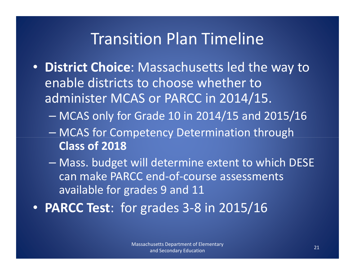### Transition Plan Timeline

- District Choice: Massachusetts led the way to enable districts to choose whether to administer MCAS or PARCC in 2014/15.
	- $\mathcal{L}_{\mathcal{A}}$ MCAS only for Grade 10 in 2014/15 and 2015/16
	- en and the state of the state – MCAS for Competency Determination through Class of 2018
	- $\mathcal{L}_{\mathcal{A}}$  , where  $\mathcal{L}_{\mathcal{A}}$  is the set of the set of the set of the set of the set of the set of the set of the set of the set of the set of the set of the set of the set of the set of the set of the set of the - Mass. budget will determine extent to which DESE can make PARCC end-of-course assessments available for grades 9 and 11
- PARCC Test: for grades 3-8 in 2015/16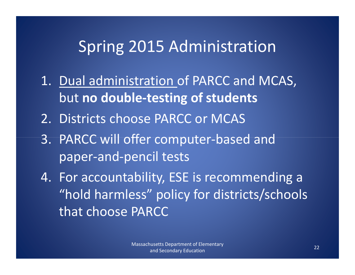### Spring 2015 Administration

- 1. Dual administration of PARCC and MCAS, but no double-testing of students
- 2. Districts choose PARCC or MCAS
- 3. PARCC will offer computer-based and paper-and-pencil tests
- 4. For accountability, ESE is recommending a "hold harmless" policy for districts/schools that choose PARCC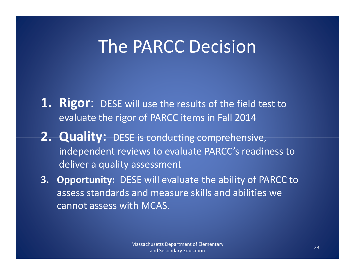## The PARCC Decision

- **1. Rigor:** DESE will use the results of the field test to evaluate the rigor of PARCC items in Fall 2014
- 2. Quality: DESE is conducting comprehensive, independent reviews to evaluate PARCC's readiness to deliver a quality assessment
- 3. Opportunity: DESE will evaluate the ability of PARCC to assess standards and measure skills and abilities we cannot assess with MCAS.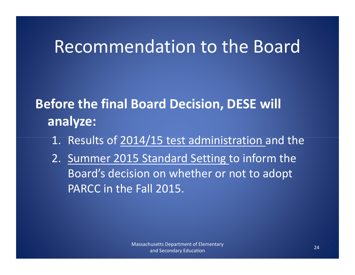## Recommendation to the Board

### Before the final Board Decision, DESE will analyze:

- 1. Results of 2014/15 test administration and the
- 2. Summer 2015 Standard Setting to inform the Board's decision on whether or not to adopt PARCC in the Fall 2015.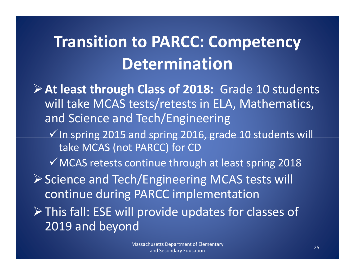## Transition to PARCC: Competency Determination

 $\triangleright$  At least through Class of 2018: Grade 10 students will take MCAS tests/retests in ELA, Mathematics, and Science and Tech/Engineering $\checkmark$  In spring 2015 and spring 2016, grade 10 students will take MCAS (not PARCC) for CD $\checkmark$  MCAS retests continue through at least spring 2018 ▶ Science and Tech/Engineering MCAS tests will continue during PARCC implementation

This fall: ESE will provide updates for classes of 2019 and beyond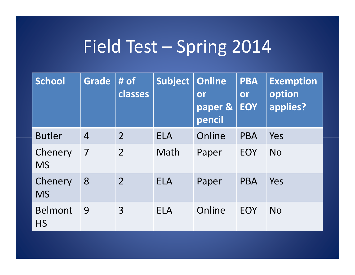## Field Test – Spring 2014

| <b>School</b>               | <b>Grade</b>   | $#$ of<br>classes | Subject    | <b>Online</b><br>or<br>paper &<br>pencil | <b>PBA</b><br>or<br><b>EOY</b> | <b>Exemption</b><br>option<br>applies? |
|-----------------------------|----------------|-------------------|------------|------------------------------------------|--------------------------------|----------------------------------------|
| <b>Butler</b>               | $\overline{4}$ | 2                 | <b>ELA</b> | Online                                   | <b>PBA</b>                     | Yes                                    |
| Chenery<br><b>MS</b>        | 7              | $\overline{2}$    | Math       | Paper                                    | <b>EOY</b>                     | <b>No</b>                              |
| Chenery<br><b>MS</b>        | 8              | $\overline{2}$    | <b>ELA</b> | Paper                                    | <b>PBA</b>                     | Yes                                    |
| <b>Belmont</b><br><b>HS</b> | 9              | $\overline{3}$    | <b>ELA</b> | Online                                   | EOY                            | <b>No</b>                              |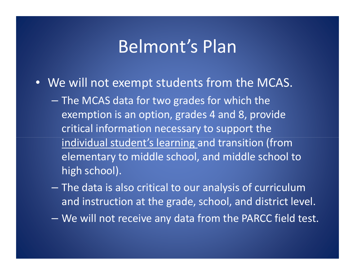## Belmont's Plan

- We will not exempt students from the MCAS.
	- The MCAS data for two grades for which the exemption is an option, grades 4 and 8, provide critical information necessary to support the individual student's learning and transition (from elementary to middle school, and middle school to high school).
	- The data is also critical to our analysis of curriculum and instruction at the grade, school, and district level.
	- We will not receive any data from the PARCC field test.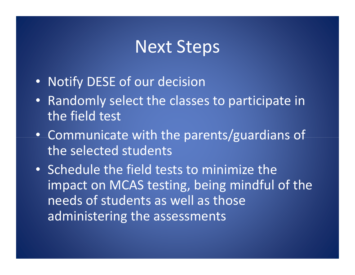### Next Steps

- Notify DESE of our decision
- Randomly select the classes to participate in the field test
- Communicate with the parents/guardians of the selected students
- Schedule the field tests to minimize the impact on MCAS testing, being mindful of the needs of students as well as those administering the assessments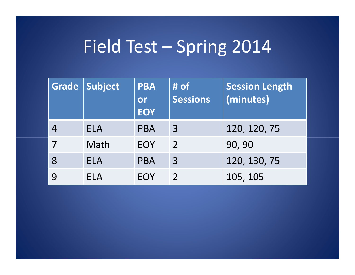## Field Test – Spring 2014

| Grade | Subject    | <b>PBA</b><br>or<br><b>EOY</b> | # of<br><b>Sessions</b> | <b>Session Length</b><br>(minutes) |
|-------|------------|--------------------------------|-------------------------|------------------------------------|
|       | <b>ELA</b> | <b>PBA</b>                     | 3                       | 120, 120, 75                       |
|       | Math       | <b>EOY</b>                     | $\overline{2}$          | 90, 90                             |
| 8     | <b>ELA</b> | <b>PBA</b>                     | $\overline{3}$          | 120, 130, 75                       |
|       | <b>ELA</b> | EOY                            |                         | 105, 105                           |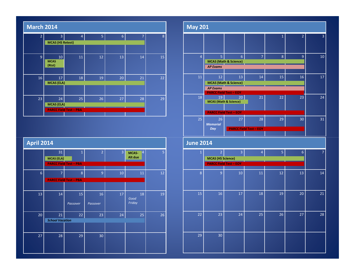| <b>March 2014</b> |                             |                               |    |    |                |    |
|-------------------|-----------------------------|-------------------------------|----|----|----------------|----|
| $\overline{2}$    | $\overline{3}$              | $\overline{4}$                | 5  | 6  | $\overline{7}$ | 8  |
|                   | <b>MCAS (HS Retest)</b>     |                               |    |    |                |    |
|                   |                             |                               |    |    |                |    |
| 9                 | 10<br><b>MCAS</b><br>(Rtst) | 11                            | 12 | 13 | 14             | 15 |
| 16                | 17                          | 18                            | 19 | 20 | 21             | 22 |
|                   | <b>MCAS (ELA)</b>           |                               |    |    |                |    |
| 23                | 24                          | 25                            | 26 | 27 | 28             | 29 |
|                   | <b>MCAS (ELA)</b>           |                               |    |    |                |    |
|                   |                             | <b>PARCC Field Test - PBA</b> |    |    |                |    |
|                   |                             |                               |    |    |                |    |

| <b>April 2014</b> |                        |                               |                |                |                |                |
|-------------------|------------------------|-------------------------------|----------------|----------------|----------------|----------------|
|                   | 31                     | $\overline{1}$                | $\overline{2}$ | $\overline{3}$ | MCAS-<br>4     | 5 <sup>1</sup> |
|                   | <b>MCAS (ELA)</b>      |                               |                |                | Alt due        |                |
|                   |                        | <b>PARCC Field Test - PBA</b> |                |                |                |                |
| $6\overline{6}$   | $\overline{7}$         | 8                             | 9              | 10             | 11             | 12             |
|                   |                        | <b>PARCC Field Test - PBA</b> |                |                |                |                |
|                   |                        |                               |                |                |                |                |
| 13                | 14                     | 15                            | 16             | 17             | 18             | 19             |
|                   |                        | Passover                      | Passover       |                | Good<br>Friday |                |
| 20                | 21                     | 22                            | 23             | 24             | 25             | 26             |
|                   | <b>School Vacation</b> |                               |                |                |                |                |
|                   |                        |                               |                |                |                |                |
| 27                | 28                     | 29                            | 30             |                |                |                |
|                   |                        |                               |                |                |                |                |
|                   |                        |                               |                |                |                |                |

| <b>May 201</b>   |                                            |                                                                     |                                     |              |                |                |
|------------------|--------------------------------------------|---------------------------------------------------------------------|-------------------------------------|--------------|----------------|----------------|
|                  |                                            |                                                                     |                                     | $\mathbf{1}$ | $\overline{2}$ | $\overline{3}$ |
| $\overline{4}$   | 5<br><b>AP Exams</b>                       | $6\overline{6}$<br><b>MCAS</b> (Math & Science)                     | $\overline{7}$                      | 8            | 9              | 10             |
| 11               | 12<br><b>AP Exams</b>                      | 13<br><b>MCAS</b> (Math & Science)<br><b>PARCC Field Test - EOY</b> | 14                                  | 15           | 16             | 17             |
| 18               | 19<br><b>MCAS</b> (Math & Science)         | 20<br><b>PARCC Field Test - EOY</b>                                 | 21                                  | 22           | 23             | 24             |
| 25               | 26<br><b>Memorial</b><br>Day               | 27                                                                  | 28<br><b>PARCC Field Test - EOY</b> | 29           | 30             | 31             |
|                  |                                            |                                                                     |                                     |              |                |                |
| <b>June 2014</b> |                                            |                                                                     |                                     |              |                |                |
| 1                | $\overline{2}$<br><b>MCAS (HS Science)</b> | $\overline{3}$<br><b>PARCC Field Test - EOY</b>                     | $\overline{4}$                      | 5            | 6              | 7              |
| 8                | 9                                          | 10                                                                  | 11                                  | 12           | 13             | 14             |
| 15               | 16                                         | 17                                                                  | 18                                  | 19           | 20             | 21             |
| 22               | 23                                         | 24                                                                  | 25                                  | 26           | 27             | 28             |